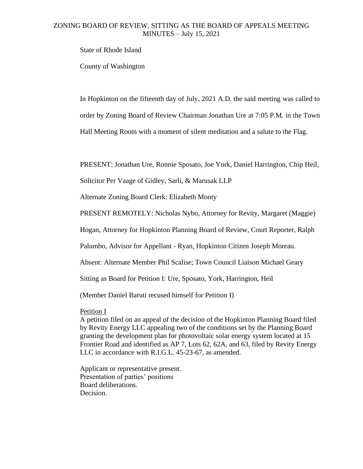## ZONING BOARD OF REVIEW, SITTING AS THE BOARD OF APPEALS MEETING MINUTES – July 15, 2021

State of Rhode Island

County of Washington

In Hopkinton on the fifteenth day of July, 2021 A.D. the said meeting was called to order by Zoning Board of Review Chairman Jonathan Ure at 7:05 P.M. in the Town Hall Meeting Room with a moment of silent meditation and a salute to the Flag.

PRESENT: Jonathan Ure, Ronnie Sposato, Joe York, Daniel Harrington, Chip Heil,

Solicitor Per Vaage of Gidley, Sarli, & Marusak LLP

Alternate Zoning Board Clerk: Elizabeth Monty

PRESENT REMOTELY: Nicholas Nybo, Attorney for Revity, Margaret (Maggie)

Hogan, Attorney for Hopkinton Planning Board of Review, Court Reporter, Ralph

Palumbo, Advisor for Appellant - Ryan, Hopkinton Citizen Joseph Moreau.

Absent: Alternate Member Phil Scalise; Town Council Liaison Michael Geary

Sitting as Board for Petition I: Ure, Sposato, York, Harrington, Heil

(Member Daniel Baruti recused himself for Petition I)

Petition I

A petition filed on an appeal of the decision of the Hopkinton Planning Board filed by Revity Energy LLC appealing two of the conditions set by the Planning Board granting the development plan for photovoltaic solar energy system located at 15 Frontier Road and identified as AP 7, Lots 62, 62A, and 63, filed by Revity Energy LLC in accordance with R.I.G.L. 45-23-67, as amended.

Applicant or representative present. Presentation of parties' positions Board deliberations. Decision.